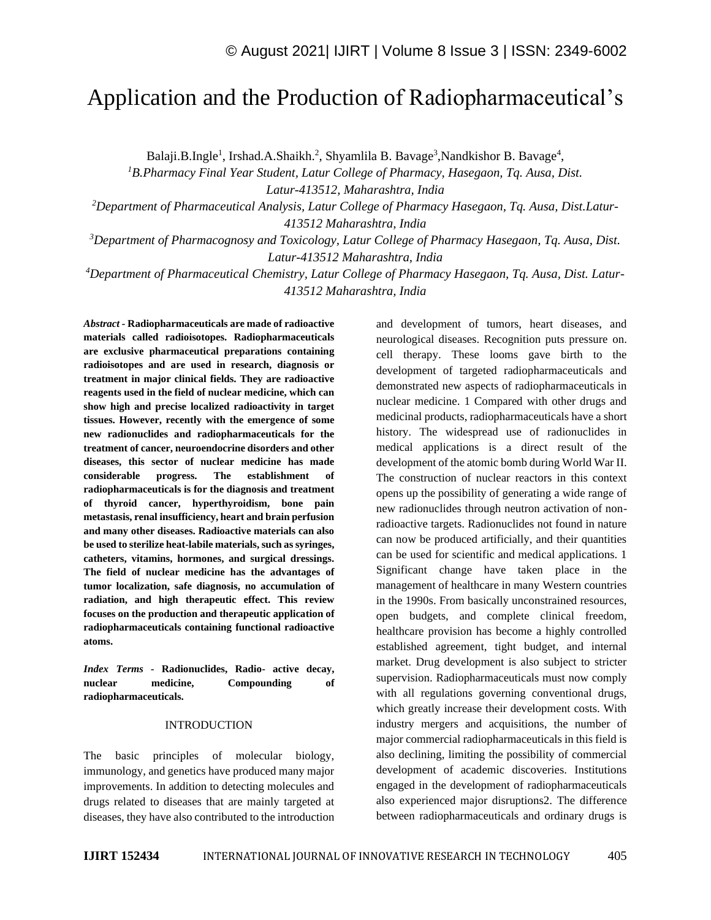# Application and the Production of Radiopharmaceutical's

Balaji.B.Ingle<sup>1</sup>, Irshad.A.Shaikh.<sup>2</sup>, Shyamlila B. Bavage<sup>3</sup>, Nandkishor B. Bavage<sup>4</sup>,

*<sup>1</sup>B.Pharmacy Final Year Student, Latur College of Pharmacy, Hasegaon, Tq. Ausa, Dist.* 

*Latur-413512, Maharashtra, India*

*<sup>2</sup>Department of Pharmaceutical Analysis, Latur College of Pharmacy Hasegaon, Tq. Ausa, Dist.Latur-413512 Maharashtra, India*

*<sup>3</sup>Department of Pharmacognosy and Toxicology, Latur College of Pharmacy Hasegaon, Tq. Ausa, Dist. Latur-413512 Maharashtra, India*

*<sup>4</sup>Department of Pharmaceutical Chemistry, Latur College of Pharmacy Hasegaon, Tq. Ausa, Dist. Latur-413512 Maharashtra, India*

*Abstract -* **Radiopharmaceuticals are made of radioactive materials called radioisotopes. Radiopharmaceuticals are exclusive pharmaceutical preparations containing radioisotopes and are used in research, diagnosis or treatment in major clinical fields. They are radioactive reagents used in the field of nuclear medicine, which can show high and precise localized radioactivity in target tissues. However, recently with the emergence of some new radionuclides and radiopharmaceuticals for the treatment of cancer, neuroendocrine disorders and other diseases, this sector of nuclear medicine has made considerable progress. The establishment of radiopharmaceuticals is for the diagnosis and treatment of thyroid cancer, hyperthyroidism, bone pain metastasis, renal insufficiency, heart and brain perfusion and many other diseases. Radioactive materials can also be used to sterilize heat-labile materials, such as syringes, catheters, vitamins, hormones, and surgical dressings. The field of nuclear medicine has the advantages of tumor localization, safe diagnosis, no accumulation of radiation, and high therapeutic effect. This review focuses on the production and therapeutic application of radiopharmaceuticals containing functional radioactive atoms.**

*Index Terms -* **Radionuclides, Radio- active decay, nuclear medicine, Compounding of radiopharmaceuticals.**

## INTRODUCTION

The basic principles of molecular biology, immunology, and genetics have produced many major improvements. In addition to detecting molecules and drugs related to diseases that are mainly targeted at diseases, they have also contributed to the introduction and development of tumors, heart diseases, and neurological diseases. Recognition puts pressure on. cell therapy. These looms gave birth to the development of targeted radiopharmaceuticals and demonstrated new aspects of radiopharmaceuticals in nuclear medicine. 1 Compared with other drugs and medicinal products, radiopharmaceuticals have a short history. The widespread use of radionuclides in medical applications is a direct result of the development of the atomic bomb during World War II. The construction of nuclear reactors in this context opens up the possibility of generating a wide range of new radionuclides through neutron activation of nonradioactive targets. Radionuclides not found in nature can now be produced artificially, and their quantities can be used for scientific and medical applications. 1 Significant change have taken place in the management of healthcare in many Western countries in the 1990s. From basically unconstrained resources, open budgets, and complete clinical freedom, healthcare provision has become a highly controlled established agreement, tight budget, and internal market. Drug development is also subject to stricter supervision. Radiopharmaceuticals must now comply with all regulations governing conventional drugs, which greatly increase their development costs. With industry mergers and acquisitions, the number of major commercial radiopharmaceuticals in this field is also declining, limiting the possibility of commercial development of academic discoveries. Institutions engaged in the development of radiopharmaceuticals also experienced major disruptions2. The difference between radiopharmaceuticals and ordinary drugs is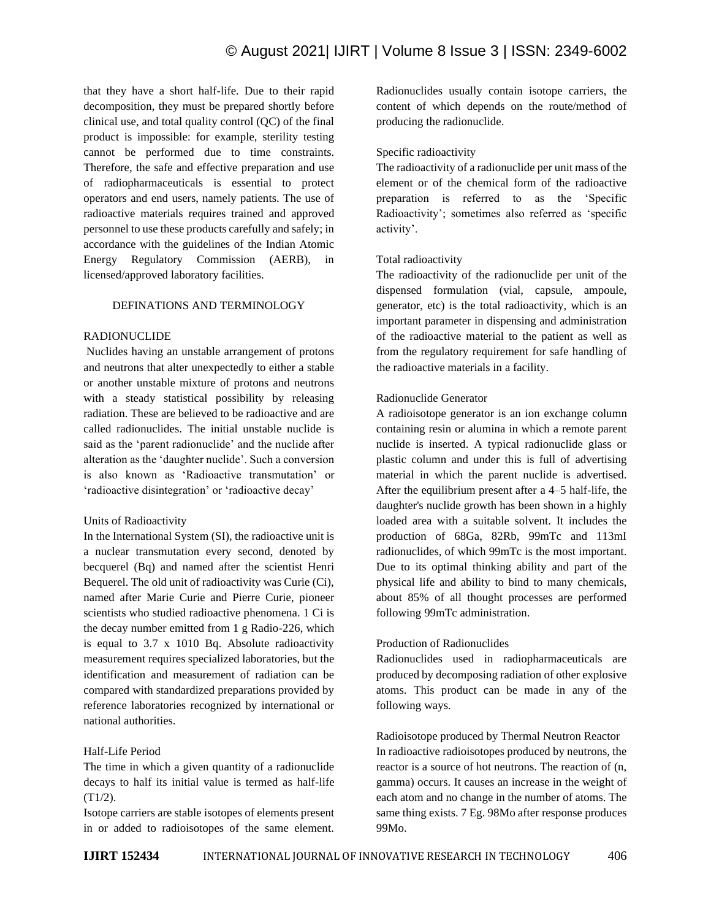that they have a short half-life. Due to their rapid decomposition, they must be prepared shortly before clinical use, and total quality control (QC) of the final product is impossible: for example, sterility testing cannot be performed due to time constraints. Therefore, the safe and effective preparation and use of radiopharmaceuticals is essential to protect operators and end users, namely patients. The use of radioactive materials requires trained and approved personnel to use these products carefully and safely; in accordance with the guidelines of the Indian Atomic Energy Regulatory Commission (AERB), in licensed/approved laboratory facilities.

#### DEFINATIONS AND TERMINOLOGY

#### RADIONUCLIDE

Nuclides having an unstable arrangement of protons and neutrons that alter unexpectedly to either a stable or another unstable mixture of protons and neutrons with a steady statistical possibility by releasing radiation. These are believed to be radioactive and are called radionuclides. The initial unstable nuclide is said as the 'parent radionuclide' and the nuclide after alteration as the 'daughter nuclide'. Such a conversion is also known as 'Radioactive transmutation' or 'radioactive disintegration' or 'radioactive decay'

## Units of Radioactivity

In the International System (SI), the radioactive unit is a nuclear transmutation every second, denoted by becquerel (Bq) and named after the scientist Henri Bequerel. The old unit of radioactivity was Curie (Ci), named after Marie Curie and Pierre Curie, pioneer scientists who studied radioactive phenomena. 1 Ci is the decay number emitted from 1 g Radio-226, which is equal to 3.7 x 1010 Bq. Absolute radioactivity measurement requires specialized laboratories, but the identification and measurement of radiation can be compared with standardized preparations provided by reference laboratories recognized by international or national authorities.

## Half-Life Period

The time in which a given quantity of a radionuclide decays to half its initial value is termed as half-life (T1/2).

Isotope carriers are stable isotopes of elements present in or added to radioisotopes of the same element. Radionuclides usually contain isotope carriers, the content of which depends on the route/method of producing the radionuclide.

#### Specific radioactivity

The radioactivity of a radionuclide per unit mass of the element or of the chemical form of the radioactive preparation is referred to as the 'Specific Radioactivity'; sometimes also referred as 'specific activity'.

#### Total radioactivity

The radioactivity of the radionuclide per unit of the dispensed formulation (vial, capsule, ampoule, generator, etc) is the total radioactivity, which is an important parameter in dispensing and administration of the radioactive material to the patient as well as from the regulatory requirement for safe handling of the radioactive materials in a facility.

## Radionuclide Generator

A radioisotope generator is an ion exchange column containing resin or alumina in which a remote parent nuclide is inserted. A typical radionuclide glass or plastic column and under this is full of advertising material in which the parent nuclide is advertised. After the equilibrium present after a 4–5 half-life, the daughter's nuclide growth has been shown in a highly loaded area with a suitable solvent. It includes the production of 68Ga, 82Rb, 99mTc and 113mI radionuclides, of which 99mTc is the most important. Due to its optimal thinking ability and part of the physical life and ability to bind to many chemicals, about 85% of all thought processes are performed following 99mTc administration.

#### Production of Radionuclides

Radionuclides used in radiopharmaceuticals are produced by decomposing radiation of other explosive atoms. This product can be made in any of the following ways.

Radioisotope produced by Thermal Neutron Reactor In radioactive radioisotopes produced by neutrons, the reactor is a source of hot neutrons. The reaction of (n, gamma) occurs. It causes an increase in the weight of each atom and no change in the number of atoms. The same thing exists. 7 Eg. 98Mo after response produces 99Mo.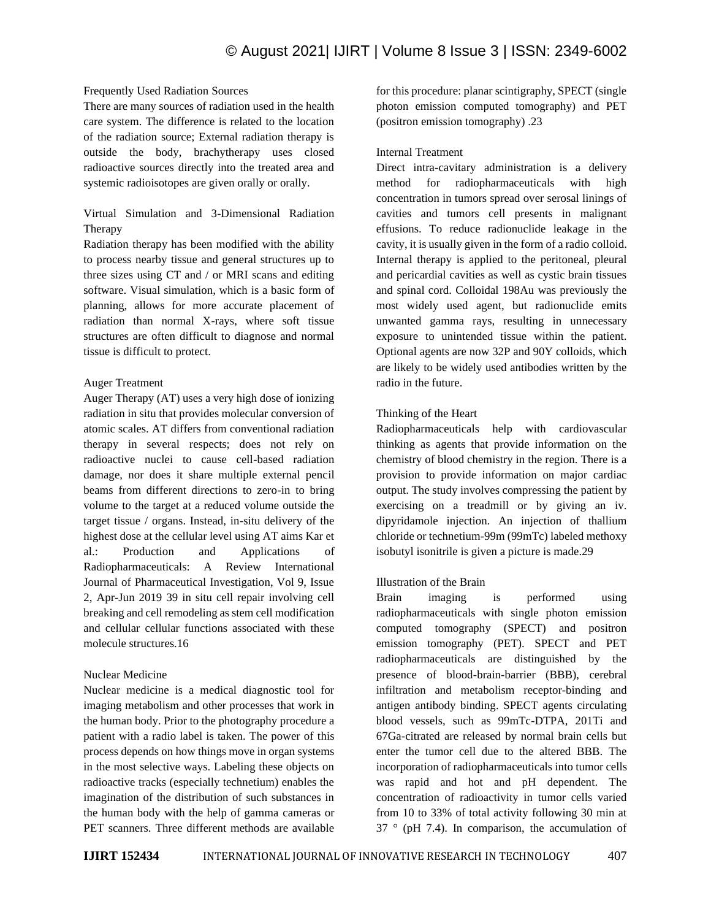## Frequently Used Radiation Sources

There are many sources of radiation used in the health care system. The difference is related to the location of the radiation source; External radiation therapy is outside the body, brachytherapy uses closed radioactive sources directly into the treated area and systemic radioisotopes are given orally or orally.

# Virtual Simulation and 3-Dimensional Radiation Therapy

Radiation therapy has been modified with the ability to process nearby tissue and general structures up to three sizes using CT and / or MRI scans and editing software. Visual simulation, which is a basic form of planning, allows for more accurate placement of radiation than normal X-rays, where soft tissue structures are often difficult to diagnose and normal tissue is difficult to protect.

## Auger Treatment

Auger Therapy (AT) uses a very high dose of ionizing radiation in situ that provides molecular conversion of atomic scales. AT differs from conventional radiation therapy in several respects; does not rely on radioactive nuclei to cause cell-based radiation damage, nor does it share multiple external pencil beams from different directions to zero-in to bring volume to the target at a reduced volume outside the target tissue / organs. Instead, in-situ delivery of the highest dose at the cellular level using AT aims Kar et al.: Production and Applications of Radiopharmaceuticals: A Review International Journal of Pharmaceutical Investigation, Vol 9, Issue 2, Apr-Jun 2019 39 in situ cell repair involving cell breaking and cell remodeling as stem cell modification and cellular cellular functions associated with these molecule structures.16

## Nuclear Medicine

Nuclear medicine is a medical diagnostic tool for imaging metabolism and other processes that work in the human body. Prior to the photography procedure a patient with a radio label is taken. The power of this process depends on how things move in organ systems in the most selective ways. Labeling these objects on radioactive tracks (especially technetium) enables the imagination of the distribution of such substances in the human body with the help of gamma cameras or PET scanners. Three different methods are available

for this procedure: planar scintigraphy, SPECT (single photon emission computed tomography) and PET (positron emission tomography) .23

#### Internal Treatment

Direct intra-cavitary administration is a delivery method for radiopharmaceuticals with high concentration in tumors spread over serosal linings of cavities and tumors cell presents in malignant effusions. To reduce radionuclide leakage in the cavity, it is usually given in the form of a radio colloid. Internal therapy is applied to the peritoneal, pleural and pericardial cavities as well as cystic brain tissues and spinal cord. Colloidal 198Au was previously the most widely used agent, but radionuclide emits unwanted gamma rays, resulting in unnecessary exposure to unintended tissue within the patient. Optional agents are now 32P and 90Y colloids, which are likely to be widely used antibodies written by the radio in the future.

#### Thinking of the Heart

Radiopharmaceuticals help with cardiovascular thinking as agents that provide information on the chemistry of blood chemistry in the region. There is a provision to provide information on major cardiac output. The study involves compressing the patient by exercising on a treadmill or by giving an iv. dipyridamole injection. An injection of thallium chloride or technetium-99m (99mTc) labeled methoxy isobutyl isonitrile is given a picture is made.29

## Illustration of the Brain

Brain imaging is performed using radiopharmaceuticals with single photon emission computed tomography (SPECT) and positron emission tomography (PET). SPECT and PET radiopharmaceuticals are distinguished by the presence of blood-brain-barrier (BBB), cerebral infiltration and metabolism receptor-binding and antigen antibody binding. SPECT agents circulating blood vessels, such as 99mTc-DTPA, 201Ti and 67Ga-citrated are released by normal brain cells but enter the tumor cell due to the altered BBB. The incorporation of radiopharmaceuticals into tumor cells was rapid and hot and pH dependent. The concentration of radioactivity in tumor cells varied from 10 to 33% of total activity following 30 min at 37 ° (pH 7.4). In comparison, the accumulation of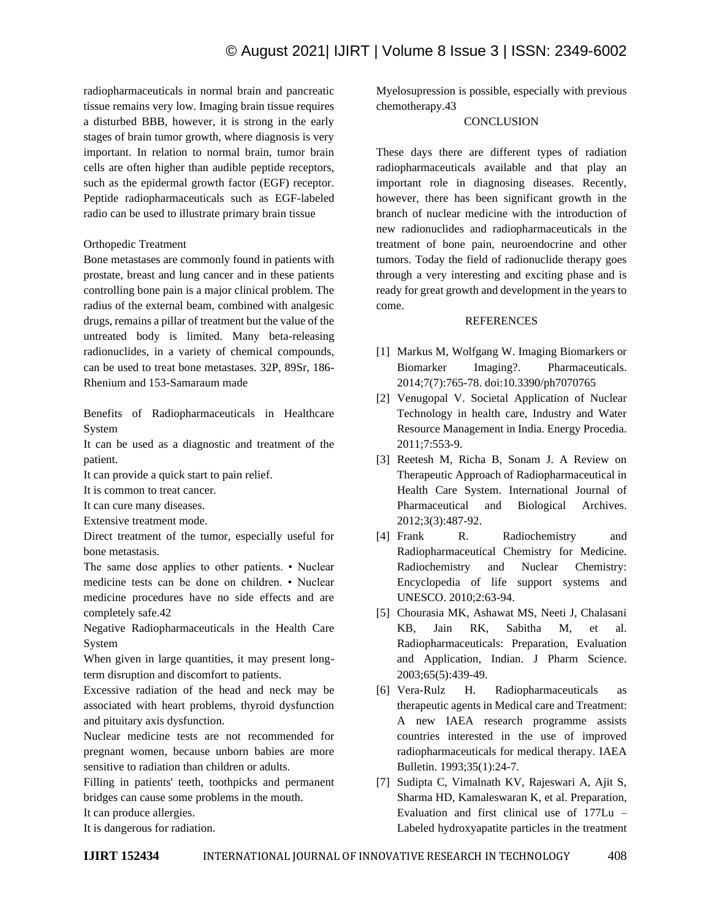radiopharmaceuticals in normal brain and pancreatic tissue remains very low. Imaging brain tissue requires a disturbed BBB, however, it is strong in the early stages of brain tumor growth, where diagnosis is very important. In relation to normal brain, tumor brain cells are often higher than audible peptide receptors, such as the epidermal growth factor (EGF) receptor. Peptide radiopharmaceuticals such as EGF-labeled radio can be used to illustrate primary brain tissue

Orthopedic Treatment

Bone metastases are commonly found in patients with prostate, breast and lung cancer and in these patients controlling bone pain is a major clinical problem. The radius of the external beam, combined with analgesic drugs, remains a pillar of treatment but the value of the untreated body is limited. Many beta-releasing radionuclides, in a variety of chemical compounds, can be used to treat bone metastases. 32P, 89Sr, 186- Rhenium and 153-Samaraum made

Benefits of Radiopharmaceuticals in Healthcare System

It can be used as a diagnostic and treatment of the patient.

It can provide a quick start to pain relief.

It is common to treat cancer.

It can cure many diseases.

Extensive treatment mode.

Direct treatment of the tumor, especially useful for bone metastasis.

The same dose applies to other patients. • Nuclear medicine tests can be done on children. • Nuclear medicine procedures have no side effects and are completely safe.42

Negative Radiopharmaceuticals in the Health Care System

When given in large quantities, it may present longterm disruption and discomfort to patients.

Excessive radiation of the head and neck may be associated with heart problems, thyroid dysfunction and pituitary axis dysfunction.

Nuclear medicine tests are not recommended for pregnant women, because unborn babies are more sensitive to radiation than children or adults.

Filling in patients' teeth, toothpicks and permanent bridges can cause some problems in the mouth.

It can produce allergies.

It is dangerous for radiation.

Myelosupression is possible, especially with previous chemotherapy.43

## **CONCLUSION**

These days there are different types of radiation radiopharmaceuticals available and that play an important role in diagnosing diseases. Recently, however, there has been significant growth in the branch of nuclear medicine with the introduction of new radionuclides and radiopharmaceuticals in the treatment of bone pain, neuroendocrine and other tumors. Today the field of radionuclide therapy goes through a very interesting and exciting phase and is ready for great growth and development in the years to come.

#### REFERENCES

- [1] Markus M, Wolfgang W. Imaging Biomarkers or Biomarker Imaging?. Pharmaceuticals. 2014;7(7):765-78. doi:10.3390/ph7070765
- [2] Venugopal V. Societal Application of Nuclear Technology in health care, Industry and Water Resource Management in India. Energy Procedia. 2011;7:553-9.
- [3] Reetesh M, Richa B, Sonam J. A Review on Therapeutic Approach of Radiopharmaceutical in Health Care System. International Journal of Pharmaceutical and Biological Archives. 2012;3(3):487-92.
- [4] Frank R. Radiochemistry and Radiopharmaceutical Chemistry for Medicine. Radiochemistry and Nuclear Chemistry: Encyclopedia of life support systems and UNESCO. 2010;2:63-94.
- [5] Chourasia MK, Ashawat MS, Neeti J, Chalasani KB, Jain RK, Sabitha M, et al. Radiopharmaceuticals: Preparation, Evaluation and Application, Indian. J Pharm Science. 2003;65(5):439-49.
- [6] Vera-Rulz H. Radiopharmaceuticals as therapeutic agents in Medical care and Treatment: A new IAEA research programme assists countries interested in the use of improved radiopharmaceuticals for medical therapy. IAEA Bulletin. 1993;35(1):24-7.
- [7] Sudipta C, Vimalnath KV, Rajeswari A, Ajit S, Sharma HD, Kamaleswaran K, et al. Preparation, Evaluation and first clinical use of 177Lu – Labeled hydroxyapatite particles in the treatment